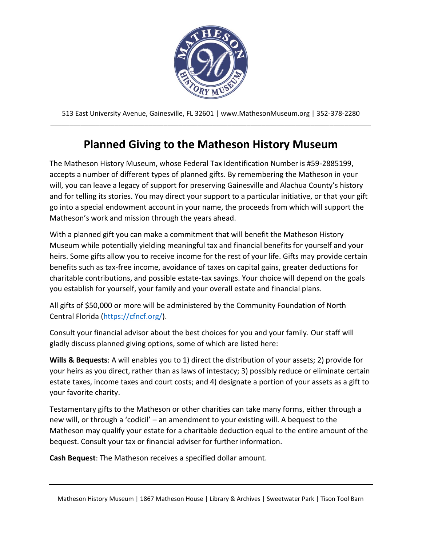

## **Planned Giving to the Matheson History Museum**

The Matheson History Museum, whose Federal Tax Identification Number is #59-2885199, accepts a number of different types of planned gifts. By remembering the Matheson in your will, you can leave a legacy of support for preserving Gainesville and Alachua County's history and for telling its stories. You may direct your support to a particular initiative, or that your gift go into a special endowment account in your name, the proceeds from which will support the Matheson's work and mission through the years ahead.

With a planned gift you can make a commitment that will benefit the Matheson History Museum while potentially yielding meaningful tax and financial benefits for yourself and your heirs. Some gifts allow you to receive income for the rest of your life. Gifts may provide certain benefits such as tax-free income, avoidance of taxes on capital gains, greater deductions for charitable contributions, and possible estate-tax savings. Your choice will depend on the goals you establish for yourself, your family and your overall estate and financial plans.

All gifts of \$50,000 or more will be administered by the Community Foundation of North Central Florida [\(https://cfncf.org/\)](https://cfncf.org/).

Consult your financial advisor about the best choices for you and your family. Our staff will gladly discuss planned giving options, some of which are listed here:

**Wills & Bequests**: A will enables you to 1) direct the distribution of your assets; 2) provide for your heirs as you direct, rather than as laws of intestacy; 3) possibly reduce or eliminate certain estate taxes, income taxes and court costs; and 4) designate a portion of your assets as a gift to your favorite charity.

Testamentary gifts to the Matheson or other charities can take many forms, either through a new will, or through a 'codicil' – an amendment to your existing will. A bequest to the Matheson may qualify your estate for a charitable deduction equal to the entire amount of the bequest. Consult your tax or financial adviser for further information.

**Cash Bequest**: The Matheson receives a specified dollar amount.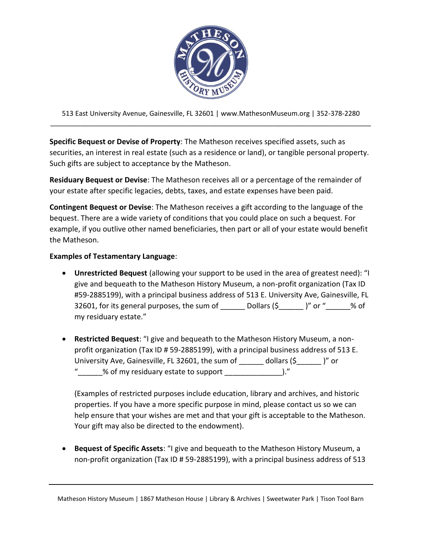

**Specific Bequest or Devise of Property**: The Matheson receives specified assets, such as securities, an interest in real estate (such as a residence or land), or tangible personal property. Such gifts are subject to acceptance by the Matheson.

**Residuary Bequest or Devise**: The Matheson receives all or a percentage of the remainder of your estate after specific legacies, debts, taxes, and estate expenses have been paid.

**Contingent Bequest or Devise**: The Matheson receives a gift according to the language of the bequest. There are a wide variety of conditions that you could place on such a bequest. For example, if you outlive other named beneficiaries, then part or all of your estate would benefit the Matheson.

## **Examples of Testamentary Language**:

- **Unrestricted Bequest** (allowing your support to be used in the area of greatest need): "I give and bequeath to the Matheson History Museum, a non-profit organization (Tax ID #59-2885199), with a principal business address of 513 E. University Ave, Gainesville, FL 32601, for its general purposes, the sum of \_\_\_\_\_\_ Dollars  $(\xi_$  \_\_\_\_\_\_\_)" or "\_\_\_\_\_\_% of my residuary estate."
- **Restricted Bequest**: "I give and bequeath to the Matheson History Museum, a nonprofit organization (Tax ID # 59-2885199), with a principal business address of 513 E. University Ave, Gainesville, FL 32601, the sum of \_\_\_\_\_\_ dollars (\$\_\_\_\_\_\_ )" or % of my residuary estate to support  $\hspace{1cm}$  )."

(Examples of restricted purposes include education, library and archives, and historic properties. If you have a more specific purpose in mind, please contact us so we can help ensure that your wishes are met and that your gift is acceptable to the Matheson. Your gift may also be directed to the endowment).

• **Bequest of Specific Assets**: "I give and bequeath to the Matheson History Museum, a non-profit organization (Tax ID # 59-2885199), with a principal business address of 513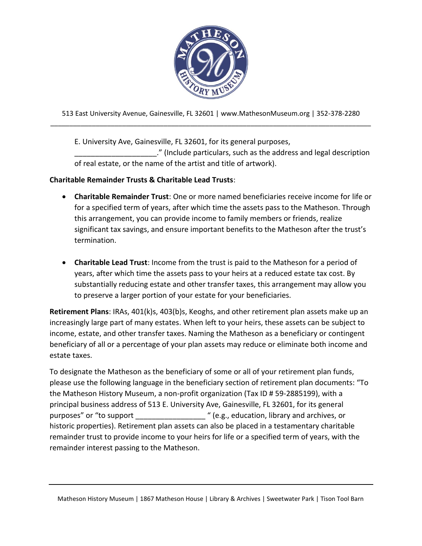

E. University Ave, Gainesville, FL 32601, for its general purposes,

\_\_\_\_\_\_\_\_\_\_\_\_\_\_\_\_\_\_\_\_." (Include particulars, such as the address and legal description of real estate, or the name of the artist and title of artwork).

## **Charitable Remainder Trusts & Charitable Lead Trusts**:

- **Charitable Remainder Trust**: One or more named beneficiaries receive income for life or for a specified term of years, after which time the assets pass to the Matheson. Through this arrangement, you can provide income to family members or friends, realize significant tax savings, and ensure important benefits to the Matheson after the trust's termination.
- **Charitable Lead Trust**: Income from the trust is paid to the Matheson for a period of years, after which time the assets pass to your heirs at a reduced estate tax cost. By substantially reducing estate and other transfer taxes, this arrangement may allow you to preserve a larger portion of your estate for your beneficiaries.

**Retirement Plans**: IRAs, 401(k)s, 403(b)s, Keoghs, and other retirement plan assets make up an increasingly large part of many estates. When left to your heirs, these assets can be subject to income, estate, and other transfer taxes. Naming the Matheson as a beneficiary or contingent beneficiary of all or a percentage of your plan assets may reduce or eliminate both income and estate taxes.

To designate the Matheson as the beneficiary of some or all of your retirement plan funds, please use the following language in the beneficiary section of retirement plan documents: "To the Matheson History Museum, a non-profit organization (Tax ID # 59-2885199), with a principal business address of 513 E. University Ave, Gainesville, FL 32601, for its general purposes" or "to support \_\_\_\_\_\_\_\_\_\_\_\_\_\_\_\_\_ " (e.g., education, library and archives, or historic properties). Retirement plan assets can also be placed in a testamentary charitable remainder trust to provide income to your heirs for life or a specified term of years, with the remainder interest passing to the Matheson.